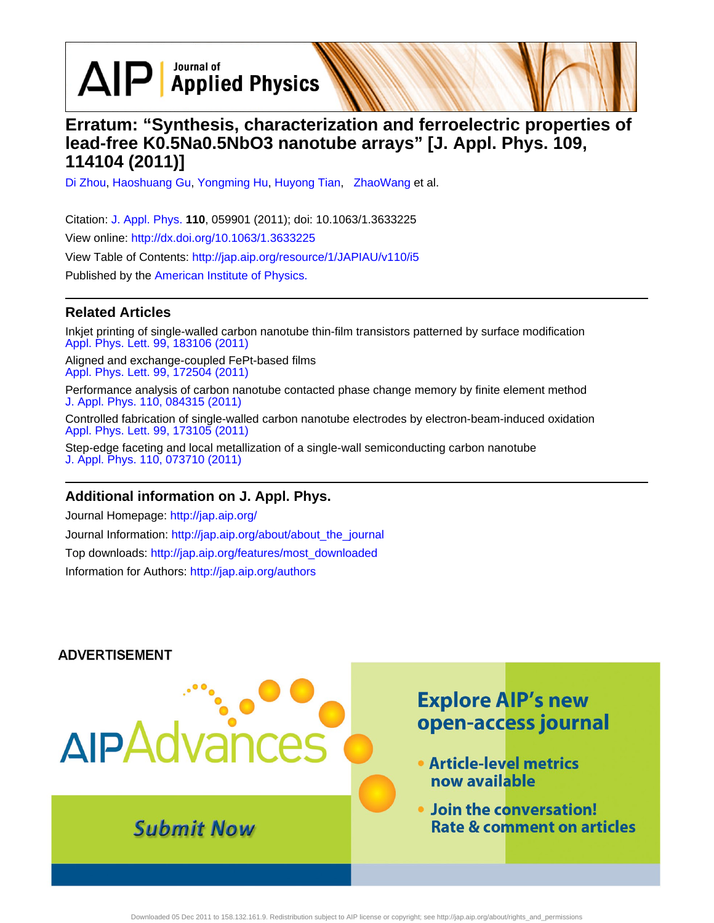$\Delta$  $\mathsf{P}$   $\mathsf{Applied}$  Physics

## **Erratum: "Synthesis, characterization and ferroelectric properties of lead-free K0.5Na0.5NbO3 nanotube arrays" [J. Appl. Phys. 109, 114104 (2011)]**

[Di Zhou](http://jap.aip.org/search?sortby=newestdate&q=&searchzone=2&searchtype=searchin&faceted=faceted&key=AIP_ALL&possible1=Di Zhou&possible1zone=author&alias=&displayid=AIP&ver=pdfcov), [Haoshuang Gu,](http://jap.aip.org/search?sortby=newestdate&q=&searchzone=2&searchtype=searchin&faceted=faceted&key=AIP_ALL&possible1=Haoshuang Gu&possible1zone=author&alias=&displayid=AIP&ver=pdfcov) [Yongming Hu,](http://jap.aip.org/search?sortby=newestdate&q=&searchzone=2&searchtype=searchin&faceted=faceted&key=AIP_ALL&possible1=Yongming Hu&possible1zone=author&alias=&displayid=AIP&ver=pdfcov) [Huyong Tian](http://jap.aip.org/search?sortby=newestdate&q=&searchzone=2&searchtype=searchin&faceted=faceted&key=AIP_ALL&possible1=Huyong Tian&possible1zone=author&alias=&displayid=AIP&ver=pdfcov), [ZhaoWang](http://jap.aip.org/search?sortby=newestdate&q=&searchzone=2&searchtype=searchin&faceted=faceted&key=AIP_ALL&possible1=  ZhaoWang&possible1zone=author&alias=&displayid=AIP&ver=pdfcov) et al.

Citation: [J. Appl. Phys.](http://jap.aip.org/?ver=pdfcov) **110**, 059901 (2011); doi: 10.1063/1.3633225 View online: [http://dx.doi.org/10.1063/1.3633225](http://link.aip.org/link/doi/10.1063/1.3633225?ver=pdfcov) View Table of Contents: [http://jap.aip.org/resource/1/JAPIAU/v110/i5](http://jap.aip.org/resource/1/JAPIAU/v110/i5?ver=pdfcov) Published by the [American Institute of Physics.](http://www.aip.org/?ver=pdfcov)

### **Related Articles**

Inkjet printing of single-walled carbon nanotube thin-film transistors patterned by surface modification [Appl. Phys. Lett. 99, 183106 \(2011\)](http://link.aip.org/link/doi/10.1063/1.3657502?ver=pdfcov)

Aligned and exchange-coupled FePt-based films [Appl. Phys. Lett. 99, 172504 \(2011\)](http://link.aip.org/link/doi/10.1063/1.3656038?ver=pdfcov)

Performance analysis of carbon nanotube contacted phase change memory by finite element method [J. Appl. Phys. 110, 084315 \(2011\)](http://link.aip.org/link/doi/10.1063/1.3655989?ver=pdfcov)

Controlled fabrication of single-walled carbon nanotube electrodes by electron-beam-induced oxidation [Appl. Phys. Lett. 99, 173105 \(2011\)](http://link.aip.org/link/doi/10.1063/1.3656736?ver=pdfcov)

Step-edge faceting and local metallization of a single-wall semiconducting carbon nanotube [J. Appl. Phys. 110, 073710 \(2011\)](http://link.aip.org/link/doi/10.1063/1.3646561?ver=pdfcov)

#### **Additional information on J. Appl. Phys.**

Journal Homepage: [http://jap.aip.org/](http://jap.aip.org/?ver=pdfcov) Journal Information: [http://jap.aip.org/about/about\\_the\\_journal](http://jap.aip.org/about/about_the_journal?ver=pdfcov) Top downloads: [http://jap.aip.org/features/most\\_downloaded](http://jap.aip.org/features/most_downloaded?ver=pdfcov) Information for Authors: [http://jap.aip.org/authors](http://jap.aip.org/authors?ver=pdfcov)

#### **ADVERTISEMENT**

# **Explore AIP's new** open-access journal **AIPAdva** • Article-level metrics now available . Join the conversation! **Submit Now Rate & comment on articles**

Downloaded 05 Dec 2011 to 158.132.161.9. Redistribution subject to AIP license or copyright; see http://jap.aip.org/about/rights\_and\_permissions